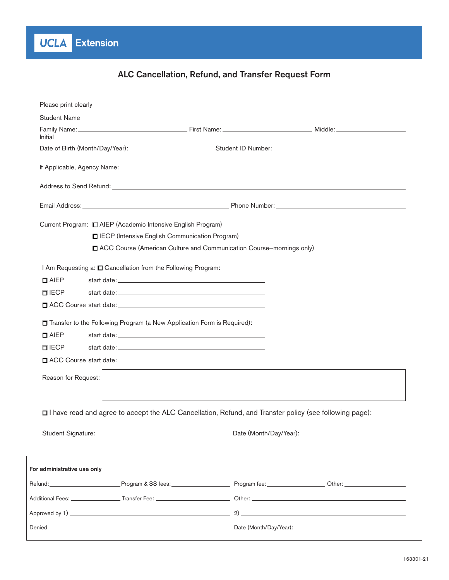# ALC Cancellation, Refund, and Transfer Request Form

| Please print clearly        |                                                                           |                                                                                                         |                                                                                                                                                                                                                                |  |
|-----------------------------|---------------------------------------------------------------------------|---------------------------------------------------------------------------------------------------------|--------------------------------------------------------------------------------------------------------------------------------------------------------------------------------------------------------------------------------|--|
| <b>Student Name</b>         |                                                                           |                                                                                                         |                                                                                                                                                                                                                                |  |
| Initial                     |                                                                           |                                                                                                         | Family Name: Nicolar Communication of the Communication of the Communication of the Communication of the Communication of the Communication of the Communication of the Communication of the Communication of the Communicatio |  |
|                             |                                                                           |                                                                                                         | Date of Birth (Month/Day/Year): Cambridge Communication Student ID Number: Communication Communication Communication Communication Communication Communication Communication Communication Communication Communication Communi |  |
|                             |                                                                           |                                                                                                         |                                                                                                                                                                                                                                |  |
|                             |                                                                           |                                                                                                         |                                                                                                                                                                                                                                |  |
|                             |                                                                           |                                                                                                         |                                                                                                                                                                                                                                |  |
|                             | Current Program: $\Box$ AIEP (Academic Intensive English Program)         |                                                                                                         |                                                                                                                                                                                                                                |  |
|                             | IECP (Intensive English Communication Program)                            |                                                                                                         |                                                                                                                                                                                                                                |  |
|                             |                                                                           | ACC Course (American Culture and Communication Course-mornings only)                                    |                                                                                                                                                                                                                                |  |
|                             | I Am Requesting a: $\square$ Cancellation from the Following Program:     |                                                                                                         |                                                                                                                                                                                                                                |  |
| $\Box$ AIEP                 |                                                                           |                                                                                                         |                                                                                                                                                                                                                                |  |
| <b>OIECP</b>                |                                                                           |                                                                                                         |                                                                                                                                                                                                                                |  |
|                             |                                                                           |                                                                                                         |                                                                                                                                                                                                                                |  |
|                             | □ Transfer to the Following Program (a New Application Form is Required): |                                                                                                         |                                                                                                                                                                                                                                |  |
| $\Box$ AIEP                 |                                                                           |                                                                                                         |                                                                                                                                                                                                                                |  |
| $\Pi$ IECP                  |                                                                           |                                                                                                         |                                                                                                                                                                                                                                |  |
|                             |                                                                           |                                                                                                         |                                                                                                                                                                                                                                |  |
| Reason for Request:         |                                                                           |                                                                                                         |                                                                                                                                                                                                                                |  |
|                             |                                                                           |                                                                                                         |                                                                                                                                                                                                                                |  |
|                             |                                                                           |                                                                                                         |                                                                                                                                                                                                                                |  |
|                             |                                                                           | □ have read and agree to accept the ALC Cancellation, Refund, and Transfer policy (see following page): |                                                                                                                                                                                                                                |  |
|                             |                                                                           |                                                                                                         |                                                                                                                                                                                                                                |  |
|                             |                                                                           |                                                                                                         |                                                                                                                                                                                                                                |  |
|                             |                                                                           |                                                                                                         |                                                                                                                                                                                                                                |  |
| For administrative use only |                                                                           |                                                                                                         |                                                                                                                                                                                                                                |  |
|                             |                                                                           |                                                                                                         |                                                                                                                                                                                                                                |  |
|                             |                                                                           |                                                                                                         |                                                                                                                                                                                                                                |  |
|                             |                                                                           |                                                                                                         |                                                                                                                                                                                                                                |  |
|                             |                                                                           |                                                                                                         |                                                                                                                                                                                                                                |  |